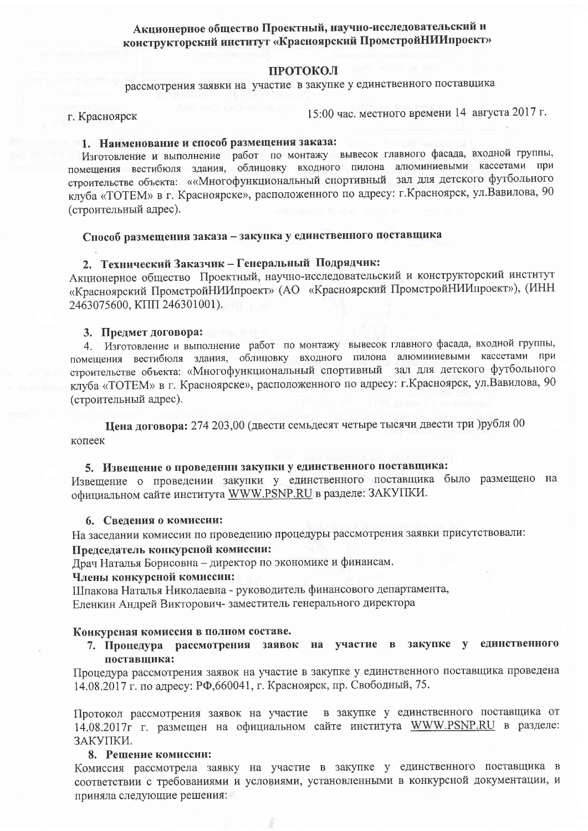# Акционерное общество Проектный, научно-исследовательский и конструкторский институт «Красноярский ПромстройНИИпроект»

#### ПРОТОКОЛ

рассмотрения заявки на участие в закупке у единственного поставщика

г. Красноярск

15:00 час. местного времени 14 августа 2017 г.

## 1. Наименование и способ размещения заказа:

Изготовление и выполнение работ по монтажу вывесок главного фасада, входной группы, помещения вестибюля здания, облицовку входного пилона алюминиевыми кассетами при строительстве объекта: ««Многофункциональный спортивный зал для детского футбольного клуба «ТОТЕМ» в г. Красноярске», расположенного по адресу: г. Красноярск, ул. Вавилова, 90 (строительный адрес).

## Способ размещения заказа - закупка у единственного поставщика

## 2. Технический Заказчик - Генеральный Подрядчик:

Акционерное общество Проектный, научно-исследовательский и конструкторский институт «Красноярский ПромстройНИИпроект» (АО «Красноярский ПромстройНИИпроект»), (ИНН 2463075600, KIIII 246301001).

#### 3. Предмет договора:

4. Изготовление и выполнение работ по монтажу вывесок главного фасада, входной группы, помещения вестибюля здания, облицовку входного пилона алюминиевыми кассетами при строительстве объекта: «Многофункциональный спортивный зал для детского футбольного клуба «ТОТЕМ» в г. Красноярске», расположенного по адресу: г. Красноярск, ул. Вавилова, 90 (строительный адрес).

Цена договора: 274 203,00 (двести семьдесят четыре тысячи двести три )рубля 00 копеек

## 5. Извещение о проведении закупки у единственного поставщика:

Извещение о проведении закупки у единственного поставщика было размещено на официальном сайте института WWW.PSNP.RU в разделе: ЗАКУПКИ.

#### 6. Сведения о комиссии:

На заседании комиссии по проведению процедуры рассмотрения заявки присутствовали:

#### Председатель конкурсной комиссии:

Драч Наталья Борисовна - директор по экономике и финансам.

## Члены конкурсной комиссии:

Шпакова Наталья Николаевна - руководитель финансового департамента,

Еленкин Андрей Викторович-заместитель генерального директора

#### Конкурсная комиссия в полном составе.

7. Процедура рассмотрения заявок на участие в закупке у единственного поставщика:

Процедура рассмотрения заявок на участие в закупке у единственного поставщика проведена 14.08.2017 г. по адресу: РФ,660041, г. Красноярск, пр. Свободный, 75.

Протокол рассмотрения заявок на участие в закупке у единственного поставщика от 14.08.2017г г. размещен на официальном сайте института WWW.PSNP.RU в разделе: ЗАКУПКИ.

## 8. Решение комиссии:

Комиссия рассмотрела заявку на участие в закупке у единственного поставщика в соответствии с требованиями и условиями, установленными в конкурсной документации, и приняла следующие решения: